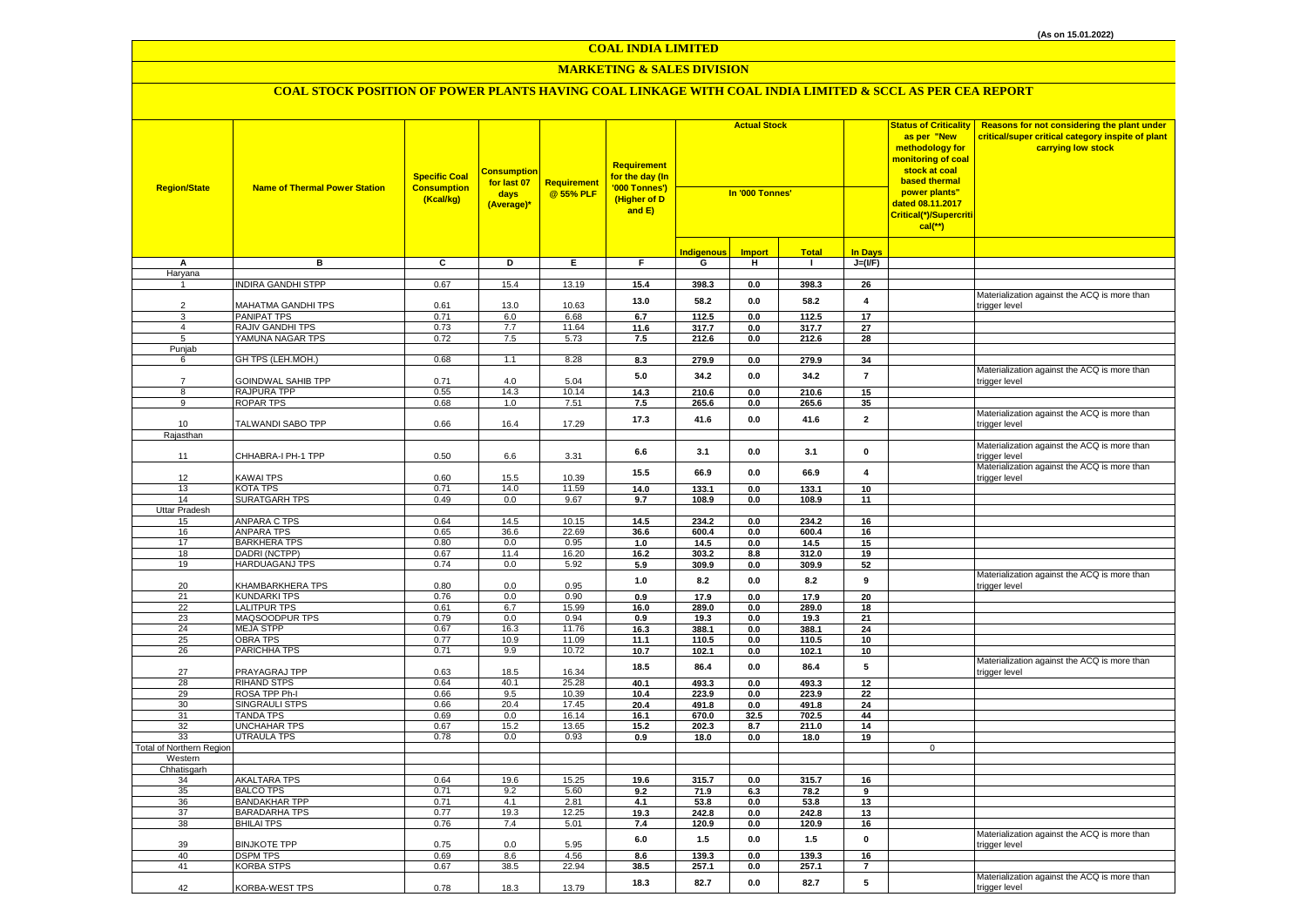## **MARKETING & SALES DIVISION**

| <b>Region/State</b>      | <b>Name of Thermal Power Station</b>         | <b>Specific Coal</b><br><b>Consumption</b><br>(Kcal/kg) | <u>Consumption</u><br>for last 07<br>days<br>(Average)* | <b>Requirement</b><br>@ 55% PLF | <b>Requirement</b><br>for the day (In<br>'000 Tonnes')<br>(Higher of D<br>and E) | <b>Actual Stock</b><br>In '000 Tonnes' |                |                |                         | <b>Status of Criticality</b><br>as per "New<br>methodology for<br>monitoring of coal<br>stock at coal<br>based thermal<br>power plants"<br>dated 08.11.2017<br>Critical(*)/Supercriti<br>$cal$ (**) | Reasons for not considering the plant under<br>critical/super critical category inspite of plant<br>carrying low stock |
|--------------------------|----------------------------------------------|---------------------------------------------------------|---------------------------------------------------------|---------------------------------|----------------------------------------------------------------------------------|----------------------------------------|----------------|----------------|-------------------------|-----------------------------------------------------------------------------------------------------------------------------------------------------------------------------------------------------|------------------------------------------------------------------------------------------------------------------------|
|                          |                                              |                                                         |                                                         |                                 |                                                                                  | <b>Indigenous</b>                      | <b>Import</b>  | <b>Total</b>   | <b>In Days</b>          |                                                                                                                                                                                                     |                                                                                                                        |
| А                        | в                                            | C                                                       | D                                                       | Е.                              | F.                                                                               | G                                      | н.             | $\mathbf{I}$   | $J=(I/F)$               |                                                                                                                                                                                                     |                                                                                                                        |
| Haryana                  |                                              |                                                         |                                                         |                                 |                                                                                  |                                        |                |                |                         |                                                                                                                                                                                                     |                                                                                                                        |
|                          | <b>INDIRA GANDHI STPP</b>                    | 0.67                                                    | 15.4                                                    | 13.19                           | 15.4                                                                             | 398.3                                  | 0.0            | 398.3          | 26                      |                                                                                                                                                                                                     |                                                                                                                        |
| $\overline{2}$           | MAHATMA GANDHI TPS                           | 0.61                                                    | 13.0                                                    | 10.63                           | 13.0                                                                             | 58.2                                   | $0.0\,$        | 58.2           | 4                       |                                                                                                                                                                                                     | Materialization against the ACQ is more than<br>trigger level                                                          |
| 3                        | <b>PANIPAT TPS</b>                           | 0.71                                                    | 6.0                                                     | 6.68                            | 6.7                                                                              | 112.5                                  | 0.0            | 112.5          | 17                      |                                                                                                                                                                                                     |                                                                                                                        |
| $\overline{4}$           | <b>RAJIV GANDHI TPS</b>                      | 0.73                                                    | 7.7                                                     | 11.64                           | 11.6                                                                             | 317.7                                  | 0.0            | 317.7          | 27                      |                                                                                                                                                                                                     |                                                                                                                        |
| 5                        | YAMUNA NAGAR TPS                             | 0.72                                                    | 7.5                                                     | 5.73                            | 7.5                                                                              | 212.6                                  | 0.0            | 212.6          | 28                      |                                                                                                                                                                                                     |                                                                                                                        |
| Punjab<br>6              | GH TPS (LEH.MOH.)                            | 0.68                                                    | 1.1                                                     | 8.28                            | 8.3                                                                              | 279.9                                  | 0.0            | 279.9          | 34                      |                                                                                                                                                                                                     |                                                                                                                        |
| $\overline{7}$           | GOINDWAL SAHIB TPP                           | 0.71                                                    | 4.0                                                     | 5.04                            | $5.0\,$                                                                          | 34.2                                   | $0.0\,$        | 34.2           | $\overline{\mathbf{r}}$ |                                                                                                                                                                                                     | Materialization against the ACQ is more than<br>trigger level                                                          |
| 8                        | RAJPURA TPP                                  | 0.55                                                    | 14.3                                                    | 10.14                           | 14.3                                                                             | 210.6                                  | 0.0            | 210.6          | 15                      |                                                                                                                                                                                                     |                                                                                                                        |
| 9                        | ROPAR TPS                                    | 0.68                                                    | 1.0                                                     | 7.51                            | 7.5                                                                              | 265.6                                  | 0.0            | 265.6          | 35                      |                                                                                                                                                                                                     |                                                                                                                        |
| 10                       | TALWANDI SABO TPP                            | 0.66                                                    | 16.4                                                    | 17.29                           | 17.3                                                                             | 41.6                                   | 0.0            | 41.6           | $\mathbf{2}$            |                                                                                                                                                                                                     | Materialization against the ACQ is more than<br>trigger level                                                          |
| Rajasthan                |                                              |                                                         |                                                         |                                 |                                                                                  |                                        |                |                |                         |                                                                                                                                                                                                     |                                                                                                                        |
| 11                       | CHHABRA-I PH-1 TPP                           | 0.50                                                    | 6.6                                                     | 3.31                            | 6.6                                                                              | 3.1                                    | 0.0            | 3.1            | 0                       |                                                                                                                                                                                                     | Materialization against the ACQ is more than<br>trigger level                                                          |
|                          |                                              |                                                         |                                                         |                                 | 15.5                                                                             | 66.9                                   | 0.0            | 66.9           | $\overline{4}$          |                                                                                                                                                                                                     | Materialization against the ACQ is more than                                                                           |
| 12                       | KAWAI TPS                                    | 0.60                                                    | 15.5                                                    | 10.39                           |                                                                                  |                                        |                |                |                         |                                                                                                                                                                                                     | trigger level                                                                                                          |
| 13<br>14                 | KOTA TPS<br><b>SURATGARH TPS</b>             | 0.71<br>0.49                                            | 14.0<br>0.0                                             | 11.59<br>9.67                   | 14.0<br>9.7                                                                      | 133.1<br>108.9                         | 0.0<br>$0.0\,$ | 133.1<br>108.9 | 10 <sup>1</sup><br>11   |                                                                                                                                                                                                     |                                                                                                                        |
| Uttar Pradesh            |                                              |                                                         |                                                         |                                 |                                                                                  |                                        |                |                |                         |                                                                                                                                                                                                     |                                                                                                                        |
| 15                       | <b>ANPARA C TPS</b>                          | 0.64                                                    | 14.5                                                    | 10.15                           | 14.5                                                                             | 234.2                                  | 0.0            | 234.2          | 16                      |                                                                                                                                                                                                     |                                                                                                                        |
| 16                       | <b>ANPARA TPS</b>                            | 0.65                                                    | 36.6                                                    | 22.69                           | 36.6                                                                             | 600.4                                  | 0.0            | 600.4          | 16                      |                                                                                                                                                                                                     |                                                                                                                        |
| 17                       | <b>BARKHERA TPS</b>                          | 0.80                                                    | 0.0                                                     | 0.95                            | 1.0                                                                              | 14.5                                   | 0.0            | 14.5           | 15                      |                                                                                                                                                                                                     |                                                                                                                        |
| 18                       | DADRI (NCTPP)                                | 0.67                                                    | 11.4                                                    | 16.20                           | 16.2                                                                             | 303.2                                  | 8.8            | 312.0          | 19                      |                                                                                                                                                                                                     |                                                                                                                        |
| 19                       | <b>HARDUAGANJ TPS</b>                        | 0.74                                                    | 0.0                                                     | 5.92                            | 5.9                                                                              | 309.9                                  | $0.0\,$        | 309.9          | 52                      |                                                                                                                                                                                                     |                                                                                                                        |
| 20                       | <b>KHAMBARKHERA TPS</b>                      | 0.80                                                    | 0.0                                                     | 0.95                            | $1.0\,$                                                                          | 8.2                                    | $0.0\,$        | 8.2            | $\boldsymbol{9}$        |                                                                                                                                                                                                     | Materialization against the ACQ is more than<br>trigger level                                                          |
| 21                       | <b>KUNDARKI TPS</b>                          | 0.76                                                    | 0.0                                                     | 0.90                            | 0.9                                                                              | 17.9                                   | 0.0            | 17.9           | 20                      |                                                                                                                                                                                                     |                                                                                                                        |
| 22<br>23                 | <b>LALITPUR TPS</b><br>MAQSOODPUR TPS        | 0.61<br>0.79                                            | 6.7<br>0.0                                              | 15.99<br>0.94                   | 16.0<br>0.9                                                                      | 289.0<br>19.3                          | 0.0<br>0.0     | 289.0<br>19.3  | 18<br>21                |                                                                                                                                                                                                     |                                                                                                                        |
| 24                       | <b>MEJA STPP</b>                             | 0.67                                                    | 16.3                                                    | 11.76                           | 16.3                                                                             | 388.1                                  | 0.0            | 388.1          | 24                      |                                                                                                                                                                                                     |                                                                                                                        |
| 25                       | OBRA TPS                                     | 0.77                                                    | 10.9                                                    | 11.09                           | 11.1                                                                             | 110.5                                  | 0.0            | 110.5          | 10                      |                                                                                                                                                                                                     |                                                                                                                        |
| 26                       | PARICHHA TPS                                 | 0.71                                                    | 9.9                                                     | 10.72                           | 10.7                                                                             | 102.1                                  | 0.0            | 102.1          | 10                      |                                                                                                                                                                                                     |                                                                                                                        |
| 27                       | PRAYAGRAJ TPP                                | 0.63                                                    | 18.5                                                    | 16.34                           | 18.5                                                                             | 86.4                                   | 0.0            | 86.4           | 5                       |                                                                                                                                                                                                     | Materialization against the ACQ is more than<br>trigger level                                                          |
| 28                       | <b>RIHAND STPS</b>                           | 0.64                                                    | 40.1                                                    | 25.28                           | 40.1                                                                             | 493.3                                  | 0.0            | 493.3          | 12                      |                                                                                                                                                                                                     |                                                                                                                        |
| 29                       | ROSA TPP Ph-I                                | 0.66                                                    | 9.5                                                     | 10.39                           | 10.4                                                                             | 223.9                                  | $0.0\,$        | 223.9          | 22                      |                                                                                                                                                                                                     |                                                                                                                        |
| 30                       | <b>SINGRAULI STPS</b>                        | 0.66                                                    | 20.4                                                    | 17.45                           | 20.4                                                                             | 491.8                                  | 0.0            | 491.8          | 24                      |                                                                                                                                                                                                     |                                                                                                                        |
| 31<br>32                 | <b>TANDA TPS</b><br><b>UNCHAHAR TPS</b>      | 0.69<br>0.67                                            | 0.0<br>15.2                                             | 16.14<br>13.65                  | 16.1<br>15.2                                                                     | 670.0<br>202.3                         | 32.5<br>8.7    | 702.5<br>211.0 | 44<br>14                |                                                                                                                                                                                                     |                                                                                                                        |
| 33                       | UTRAULA TPS                                  | 0.78                                                    | 0.0                                                     | 0.93                            | 0.9                                                                              | 18.0                                   | 0.0            | 18.0           | 19                      |                                                                                                                                                                                                     |                                                                                                                        |
| Total of Northern Region |                                              |                                                         |                                                         |                                 |                                                                                  |                                        |                |                |                         | 0                                                                                                                                                                                                   |                                                                                                                        |
| Western                  |                                              |                                                         |                                                         |                                 |                                                                                  |                                        |                |                |                         |                                                                                                                                                                                                     |                                                                                                                        |
| Chhatisgarh              |                                              |                                                         |                                                         |                                 |                                                                                  |                                        |                |                |                         |                                                                                                                                                                                                     |                                                                                                                        |
| 34                       | <b>AKALTARA TPS</b>                          | 0.64                                                    | 19.6                                                    | 15.25                           | 19.6                                                                             | 315.7                                  | 0.0            | 315.7          | 16                      |                                                                                                                                                                                                     |                                                                                                                        |
| 35                       | <b>BALCO TPS</b>                             | 0.71                                                    | 9.2                                                     | 5.60                            | 9.2                                                                              | 71.9                                   | 6.3            | 78.2           | 9                       |                                                                                                                                                                                                     |                                                                                                                        |
| 36<br>37                 | <b>BANDAKHAR TPP</b><br><b>BARADARHA TPS</b> | 0.71<br>0.77                                            | 4.1<br>19.3                                             | 2.81<br>12.25                   | 4.1<br>19.3                                                                      | 53.8<br>242.8                          | 0.0<br>0.0     | 53.8<br>242.8  | 13<br>13                |                                                                                                                                                                                                     |                                                                                                                        |
| 38                       | <b>BHILAI TPS</b>                            | 0.76                                                    | 7.4                                                     | 5.01                            | 7.4                                                                              | 120.9                                  | $0.0\,$        | 120.9          | 16                      |                                                                                                                                                                                                     |                                                                                                                        |
|                          |                                              |                                                         |                                                         |                                 | $6.0\,$                                                                          | 1.5                                    | $0.0\,$        | 1.5            | $\pmb{0}$               |                                                                                                                                                                                                     | Materialization against the ACQ is more than                                                                           |
| 39                       | <b>BINJKOTE TPP</b>                          | 0.75                                                    | 0.0                                                     | 5.95                            |                                                                                  |                                        |                |                |                         |                                                                                                                                                                                                     | trigger level                                                                                                          |
| 40<br>41                 | <b>DSPM TPS</b><br><b>KORBA STPS</b>         | 0.69<br>0.67                                            | 8.6<br>38.5                                             | 4.56<br>22.94                   | 8.6<br>38.5                                                                      | 139.3<br>257.1                         | 0.0<br>$0.0\,$ | 139.3<br>257.1 | 16<br>$\overline{7}$    |                                                                                                                                                                                                     |                                                                                                                        |
|                          |                                              |                                                         |                                                         |                                 |                                                                                  |                                        |                |                |                         |                                                                                                                                                                                                     | Materialization against the ACQ is more than                                                                           |
| 42                       | <b>KORBA-WEST TPS</b>                        | 0.78                                                    | 18.3                                                    | 13.79                           | 18.3                                                                             | 82.7                                   | 0.0            | 82.7           | 5                       |                                                                                                                                                                                                     | trigger level                                                                                                          |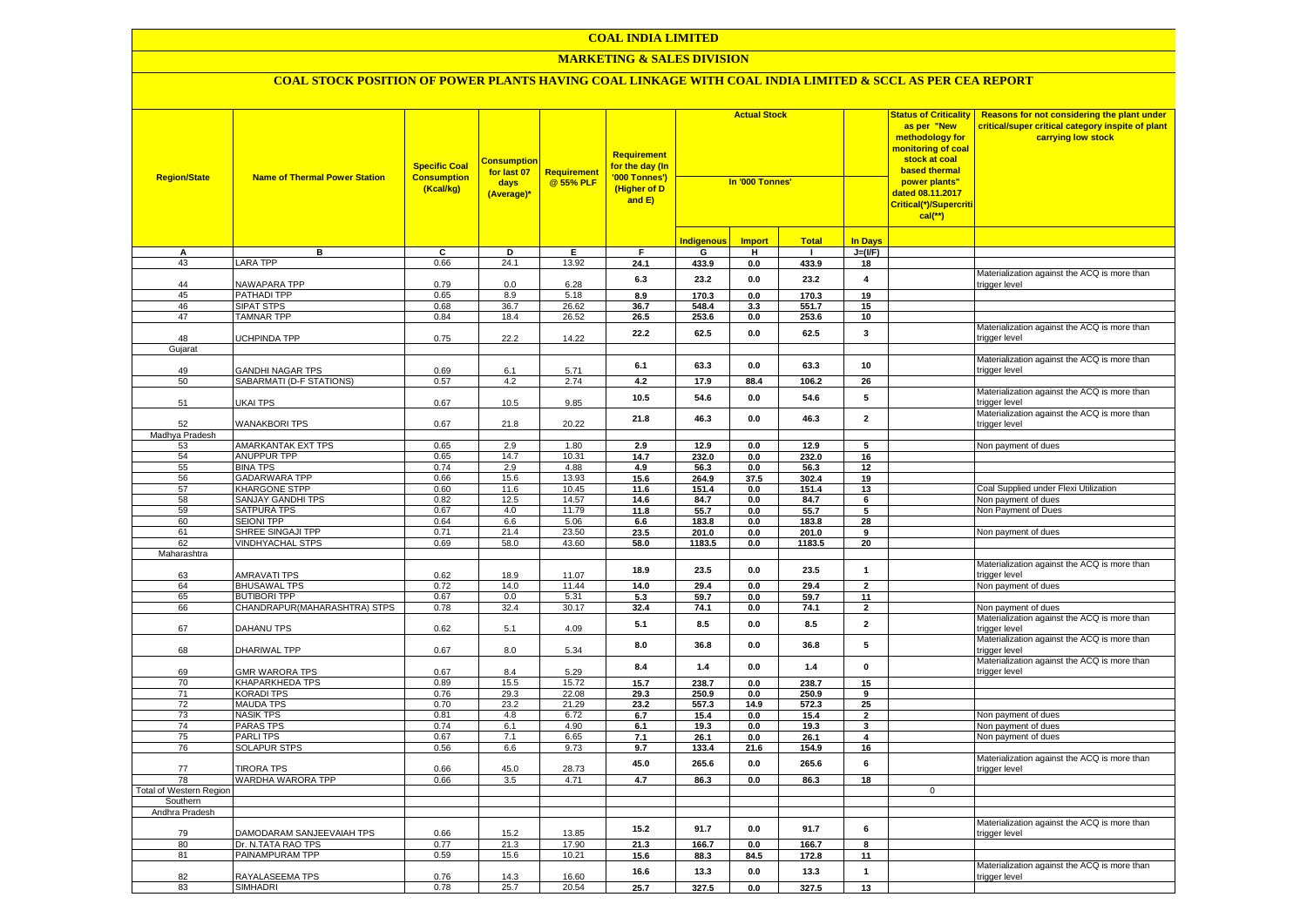## **COAL INDIA LIMITED**

## **MARKETING & SALES DIVISION**

| <b>Region/State</b>     | <b>Name of Thermal Power Station</b>    | <b>Specific Coal</b><br><b>Consumption</b><br>(Kcal/kg) | <b>Consumption</b><br>for last 07<br>days<br>(Average)* | <b>Requirement</b><br>@ 55% PLF | <b>Requirement</b><br>for the day (In<br>'000 Tonnes')<br>(Higher of D<br>and E) | <b>Actual Stock</b><br>In '000 Tonnes' |               |                |                         | <b>Status of Criticality</b><br>as per "New<br>methodology for<br><mark>monitoring of coal</mark><br>stock at coal<br>based thermal<br>power plants"<br>dated 08.11.2017<br>Critical(*)/Supercriti<br>$cal$ (**) | Reasons for not considering the plant under<br>critical/super critical category inspite of plant<br>carrying low stock |
|-------------------------|-----------------------------------------|---------------------------------------------------------|---------------------------------------------------------|---------------------------------|----------------------------------------------------------------------------------|----------------------------------------|---------------|----------------|-------------------------|------------------------------------------------------------------------------------------------------------------------------------------------------------------------------------------------------------------|------------------------------------------------------------------------------------------------------------------------|
|                         |                                         |                                                         |                                                         |                                 |                                                                                  | <b>Indigenous</b>                      | <b>Import</b> | <b>Total</b>   | In Days                 |                                                                                                                                                                                                                  |                                                                                                                        |
| А                       | в                                       | c                                                       | D                                                       | Е.                              | F                                                                                | G                                      | н.            | $\mathbf{I}$   | $J=(I/F)$               |                                                                                                                                                                                                                  |                                                                                                                        |
| 43                      | <b>LARA TPP</b>                         | 0.66                                                    | 24.1                                                    | 13.92                           | 24.1                                                                             | 433.9                                  | 0.0           | 433.9          | 18                      |                                                                                                                                                                                                                  |                                                                                                                        |
|                         |                                         |                                                         |                                                         |                                 | 6.3                                                                              | 23.2                                   | 0.0           | 23.2           | $\overline{4}$          |                                                                                                                                                                                                                  | Materialization against the ACQ is more than                                                                           |
| 44                      | NAWAPARA TPP                            | 0.79                                                    | 0.0                                                     | 6.28                            |                                                                                  |                                        |               |                |                         |                                                                                                                                                                                                                  | trigger level                                                                                                          |
| 45                      | PATHADI TPP                             | 0.65                                                    | 8.9                                                     | 5.18                            | 8.9                                                                              | 170.3                                  | 0.0           | 170.3          | 19                      |                                                                                                                                                                                                                  |                                                                                                                        |
| 46                      | <b>SIPAT STPS</b>                       | 0.68                                                    | 36.7                                                    | 26.62                           | 36.7                                                                             | 548.4                                  | 3.3           | 551.7          | 15                      |                                                                                                                                                                                                                  |                                                                                                                        |
| 47                      | <b>TAMNAR TPP</b>                       | 0.84                                                    | 18.4                                                    | 26.52                           | 26.5                                                                             | 253.6                                  | $0.0\,$       | 253.6          | 10                      |                                                                                                                                                                                                                  |                                                                                                                        |
| 48                      | <b>JCHPINDA TPP</b>                     | 0.75                                                    | 22.2                                                    | 14.22                           | 22.2                                                                             | 62.5                                   | 0.0           | 62.5           | 3                       |                                                                                                                                                                                                                  | Materialization against the ACQ is more than<br>trigger level                                                          |
| Gujarat                 |                                         |                                                         |                                                         |                                 |                                                                                  |                                        |               |                |                         |                                                                                                                                                                                                                  |                                                                                                                        |
|                         |                                         |                                                         |                                                         |                                 |                                                                                  |                                        |               |                |                         |                                                                                                                                                                                                                  | Materialization against the ACQ is more than                                                                           |
| 49                      | GANDHI NAGAR TPS                        | 0.69                                                    | 6.1                                                     | 5.71                            | 6.1                                                                              | 63.3                                   | 0.0           | 63.3           | 10                      |                                                                                                                                                                                                                  | trigger level                                                                                                          |
| 50                      | SABARMATI (D-F STATIONS)                | 0.57                                                    | 4.2                                                     | 2.74                            | 4.2                                                                              | 17.9                                   | 88.4          | 106.2          | 26                      |                                                                                                                                                                                                                  |                                                                                                                        |
|                         |                                         |                                                         |                                                         |                                 |                                                                                  |                                        |               |                | 5                       |                                                                                                                                                                                                                  | Materialization against the ACQ is more than                                                                           |
| 51                      | UKAI TPS                                | 0.67                                                    | 10.5                                                    | 9.85                            | 10.5                                                                             | 54.6                                   | 0.0           | 54.6           |                         |                                                                                                                                                                                                                  | trigger level                                                                                                          |
|                         |                                         |                                                         |                                                         |                                 | 21.8                                                                             | 46.3                                   | 0.0           | 46.3           | $\overline{\mathbf{2}}$ |                                                                                                                                                                                                                  | Materialization against the ACQ is more than                                                                           |
| 52                      | <b>WANAKBORI TPS</b>                    | 0.67                                                    | 21.8                                                    | 20.22                           |                                                                                  |                                        |               |                |                         |                                                                                                                                                                                                                  | trigger level                                                                                                          |
| Madhya Pradesh          |                                         |                                                         |                                                         |                                 |                                                                                  |                                        |               |                |                         |                                                                                                                                                                                                                  |                                                                                                                        |
| 53                      | AMARKANTAK EXT TPS                      | 0.65                                                    | 2.9                                                     | 1.80                            | 2.9                                                                              | 12.9                                   | 0.0           | 12.9           | 5                       |                                                                                                                                                                                                                  | Non payment of dues                                                                                                    |
| 54                      | <b>ANUPPUR TPP</b>                      | 0.65                                                    | 14.7                                                    | 10.31                           | 14.7                                                                             | 232.0                                  | 0.0           | 232.0          | 16                      |                                                                                                                                                                                                                  |                                                                                                                        |
| 55                      | <b>BINA TPS</b><br><b>GADARWARA TPP</b> | 0.74<br>0.66                                            | 2.9<br>15.6                                             | 4.88<br>13.93                   | 4.9                                                                              | 56.3                                   | 0.0           | 56.3           | 12                      |                                                                                                                                                                                                                  |                                                                                                                        |
| 56<br>57                | KHARGONE STPP                           | 0.60                                                    | 11.6                                                    | 10.45                           | 15.6                                                                             | 264.9                                  | 37.5          | 302.4          | 19                      |                                                                                                                                                                                                                  | Coal Supplied under Flexi Utilization                                                                                  |
| 58                      |                                         |                                                         | 12.5                                                    | 14.57                           | 11.6                                                                             | 151.4                                  | 0.0           | 151.4          | 13                      |                                                                                                                                                                                                                  | Non payment of dues                                                                                                    |
| 59                      | SANJAY GANDHI TPS<br>SATPURA TPS        | 0.82<br>0.67                                            | 4.0                                                     | 11.79                           | 14.6<br>11.8                                                                     | 84.7                                   | 0.0           | 84.7           | 6<br>5                  |                                                                                                                                                                                                                  | Non Payment of Dues                                                                                                    |
| 60                      | <b>SEIONI TPP</b>                       | 0.64                                                    | 6.6                                                     | 5.06                            |                                                                                  | 55.7<br>183.8                          | 0.0           | 55.7           | 28                      |                                                                                                                                                                                                                  |                                                                                                                        |
| 61                      | SHREE SINGAJI TPP                       | 0.71                                                    | 21.4                                                    | 23.50                           | 6.6<br>23.5                                                                      | 201.0                                  | 0.0<br>0.0    | 183.8<br>201.0 | 9                       |                                                                                                                                                                                                                  | Non payment of dues                                                                                                    |
| 62                      | <b>VINDHYACHAL STPS</b>                 | 0.69                                                    | 58.0                                                    | 43.60                           | 58.0                                                                             | 1183.5                                 | 0.0           | 1183.5         | 20                      |                                                                                                                                                                                                                  |                                                                                                                        |
| Maharashtra             |                                         |                                                         |                                                         |                                 |                                                                                  |                                        |               |                |                         |                                                                                                                                                                                                                  |                                                                                                                        |
|                         |                                         |                                                         |                                                         |                                 |                                                                                  |                                        |               |                |                         |                                                                                                                                                                                                                  | Materialization against the ACQ is more than                                                                           |
| 63                      | <b>AMRAVATI TPS</b>                     | 0.62                                                    | 18.9                                                    | 11.07                           | 18.9                                                                             | 23.5                                   | 0.0           | 23.5           | $\mathbf{1}$            |                                                                                                                                                                                                                  | trigger level                                                                                                          |
| 64                      | <b>BHUSAWAL TPS</b>                     | 0.72                                                    | 14.0                                                    | 11.44                           | 14.0                                                                             | 29.4                                   | 0.0           | 29.4           | $\overline{2}$          |                                                                                                                                                                                                                  | Non payment of dues                                                                                                    |
| 65                      | <b>BUTIBORI TPP</b>                     | 0.67                                                    | 0.0                                                     | 5.31                            | 5.3                                                                              | 59.7                                   | 0.0           | 59.7           | 11                      |                                                                                                                                                                                                                  |                                                                                                                        |
| 66                      | CHANDRAPUR(MAHARASHTRA) STPS            | 0.78                                                    | 32.4                                                    | 30.17                           | 32.4                                                                             | 74.1                                   | $0.0\,$       | 74.1           | $\overline{2}$          |                                                                                                                                                                                                                  | Non payment of dues                                                                                                    |
| 67                      | <b>DAHANU TPS</b>                       | 0.62                                                    | 5.1                                                     | 4.09                            | 5.1                                                                              | 8.5                                    | $0.0\,$       | 8.5            | $\mathbf 2$             |                                                                                                                                                                                                                  | Materialization against the ACQ is more than<br>trigger level                                                          |
|                         |                                         |                                                         |                                                         |                                 | 8.0                                                                              | 36.8                                   | 0.0           | 36.8           | 5                       |                                                                                                                                                                                                                  | Materialization against the ACQ is more than                                                                           |
| 68                      | DHARIWAL TPP                            | 0.67                                                    | 8.0                                                     | 5.34                            |                                                                                  |                                        |               |                |                         |                                                                                                                                                                                                                  | trigger level                                                                                                          |
| 69                      |                                         |                                                         | 8.4                                                     |                                 | 8.4                                                                              | 1.4                                    | 0.0           | 1.4            | 0                       |                                                                                                                                                                                                                  | Materialization against the ACQ is more than                                                                           |
| 70                      | GMR WARORA TPS<br>KHAPARKHEDA TPS       | 0.67<br>0.89                                            | 15.5                                                    | 5.29<br>15.72                   | 15.7                                                                             | 238.7                                  | 0.0           | 238.7          | 15                      |                                                                                                                                                                                                                  | trigger level                                                                                                          |
| 71                      | <b>KORADI TPS</b>                       | 0.76                                                    | 29.3                                                    | 22.08                           | 29.3                                                                             | 250.9                                  | 0.0           | 250.9          | 9                       |                                                                                                                                                                                                                  |                                                                                                                        |
| 72                      | <b>MAUDA TPS</b>                        | 0.70                                                    | 23.2                                                    | 21.29                           | 23.2                                                                             | 557.3                                  | 14.9          | 572.3          | 25                      |                                                                                                                                                                                                                  |                                                                                                                        |
| 73                      | <b>NASIK TPS</b>                        | 0.81                                                    | 4.8                                                     | 6.72                            | 6.7                                                                              | 15.4                                   | 0.0           | 15.4           | $\overline{\mathbf{2}}$ |                                                                                                                                                                                                                  | Non payment of dues                                                                                                    |
| 74                      | PARAS TPS                               | 0.74                                                    | 6.1                                                     | 4.90                            | 6.1                                                                              | 19.3                                   | 0.0           | 19.3           | $\overline{\mathbf{3}}$ |                                                                                                                                                                                                                  | Non payment of dues                                                                                                    |
| 75                      | PARLI TPS                               | 0.67                                                    | 7.1                                                     | 6.65                            | 7.1                                                                              | 26.1                                   | 0.0           | 26.1           | 4                       |                                                                                                                                                                                                                  | Non payment of dues                                                                                                    |
| 76                      | <b>SOLAPUR STPS</b>                     | 0.56                                                    | 6.6                                                     | 9.73                            | 9.7                                                                              | 133.4                                  | 21.6          | 154.9          | 16                      |                                                                                                                                                                                                                  |                                                                                                                        |
|                         |                                         |                                                         |                                                         |                                 |                                                                                  |                                        |               |                |                         |                                                                                                                                                                                                                  | Materialization against the ACQ is more than                                                                           |
| 77                      | <b>FIRORA TPS</b>                       | 0.66                                                    | 45.0                                                    | 28.73                           | 45.0                                                                             | 265.6                                  | 0.0           | 265.6          | 6                       |                                                                                                                                                                                                                  | trigger level                                                                                                          |
| 78                      | WARDHA WARORA TPP                       | 0.66                                                    | 3.5                                                     | 4.71                            | 4.7                                                                              | 86.3                                   | 0.0           | 86.3           | 18                      |                                                                                                                                                                                                                  |                                                                                                                        |
| Total of Western Region |                                         |                                                         |                                                         |                                 |                                                                                  |                                        |               |                |                         | $\Omega$                                                                                                                                                                                                         |                                                                                                                        |
| Southern                |                                         |                                                         |                                                         |                                 |                                                                                  |                                        |               |                |                         |                                                                                                                                                                                                                  |                                                                                                                        |
| Andhra Pradesh          |                                         |                                                         |                                                         |                                 |                                                                                  |                                        |               |                |                         |                                                                                                                                                                                                                  |                                                                                                                        |
|                         |                                         |                                                         |                                                         |                                 | 15.2                                                                             | 91.7                                   | 0.0           | 91.7           | 6                       |                                                                                                                                                                                                                  | Materialization against the ACQ is more than                                                                           |
| 79                      | DAMODARAM SANJEEVAIAH TPS               | 0.66                                                    | 15.2                                                    | 13.85                           |                                                                                  |                                        |               |                |                         |                                                                                                                                                                                                                  | trigger level                                                                                                          |
| 80                      | Dr. N.TATA RAO TPS                      | 0.77                                                    | 21.3                                                    | 17.90                           | 21.3                                                                             | 166.7                                  | 0.0           | 166.7          | 8                       |                                                                                                                                                                                                                  |                                                                                                                        |
| 81                      | PAINAMPURAM TPP                         | 0.59                                                    | 15.6                                                    | 10.21                           | 15.6                                                                             | 88.3                                   | 84.5          | 172.8          | 11                      |                                                                                                                                                                                                                  |                                                                                                                        |
|                         |                                         |                                                         |                                                         |                                 | 16.6                                                                             | 13.3                                   | 0.0           | 13.3           | $\mathbf{1}$            |                                                                                                                                                                                                                  | Materialization against the ACQ is more than                                                                           |
| 82                      | RAYALASEEMA TPS                         | 0.76                                                    | 14.3                                                    | 16.60                           |                                                                                  |                                        |               |                |                         |                                                                                                                                                                                                                  | trigger level                                                                                                          |
| 83                      | <b>SIMHADRI</b>                         | 0.78                                                    | 25.7                                                    | 20.54                           | 25.7                                                                             | 327.5                                  | 0.0           | 327.5          | 13                      |                                                                                                                                                                                                                  |                                                                                                                        |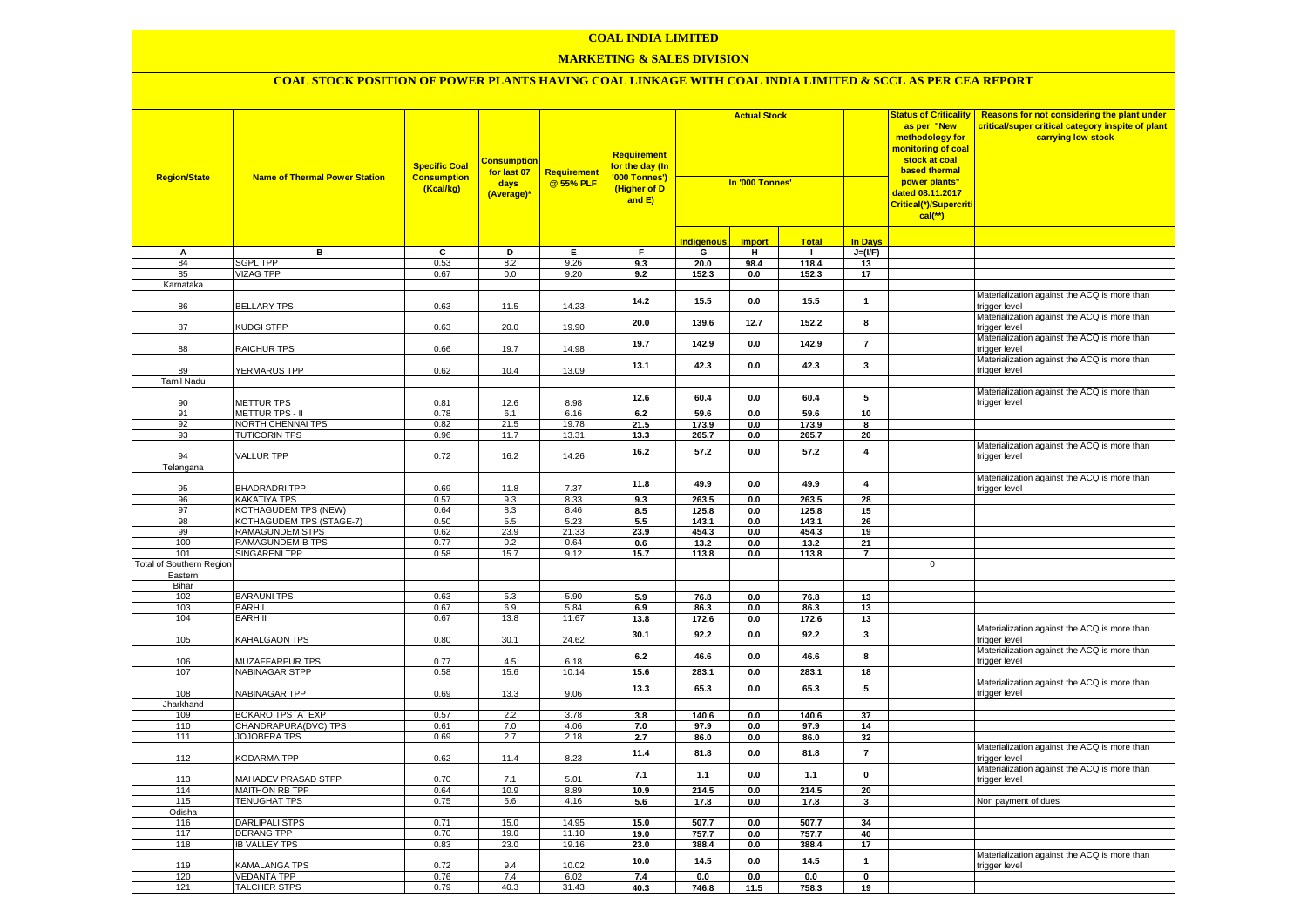## **COAL INDIA LIMITED**

#### **MARKETING & SALES DIVISION**

| <b>Indigenous</b><br><b>Import</b><br><b>Total</b><br><b>In Days</b><br>в.<br>C<br>D<br>Е<br>F<br>G<br>H<br>$J=(I/F)$<br>А<br>$\blacksquare$<br>84<br><b>SGPL TPP</b><br>0.53<br>8.2<br>9.26<br>118.4<br>9.3<br>20.0<br>98.4<br>13<br><b>VIZAG TPP</b><br>0.67<br>0.0<br>9.20<br>85<br>9.2<br>152.3<br>0.0<br>152.3<br>17<br>Karnataka<br>Materialization against the ACQ is more than<br>14.2<br>15.5<br>15.5<br>0.0<br>$\mathbf{1}$<br>86<br><b>BELLARY TPS</b><br>0.63<br>11.5<br>14.23<br>trigger level<br>Materialization against the ACQ is more than<br>8<br>20.0<br>139.6<br>12.7<br>152.2<br>KUDGI STPP<br>20.0<br>19.90<br>87<br>0.63<br>trigger level<br>Materialization against the ACQ is more than<br>19.7<br>142.9<br>0.0<br>142.9<br>$\overline{7}$<br>88<br>RAICHUR TPS<br>0.66<br>19.7<br>14.98<br>trigger level<br>Materialization against the ACQ is more than<br>13.1<br>42.3<br>$\mathbf 3$<br>42.3<br>$0.0\,$<br>0.62<br>89<br>YERMARUS TPP<br>10.4<br>13.09<br>trigger level<br><b>Tamil Nadu</b><br>Materialization against the ACQ is more than<br>$\sqrt{5}$<br>12.6<br>60.4<br>60.4<br>0.0<br>0.81<br>8.98<br>90<br>METTUR TPS<br>12.6<br>trigger level<br>91<br><b>METTUR TPS - II</b><br>0.78<br>6.1<br>6.16<br>6.2<br>10<br>59.6<br>$0.0\,$<br>59.6<br>92<br>0.82<br>21.5<br>19.78<br>NORTH CHENNAI TPS<br>21.5<br>173.9<br>0.0<br>173.9<br>8<br>93<br><b>TUTICORIN TPS</b><br>0.96<br>11.7<br>13.31<br>20<br>13.3<br>265.7<br>0.0<br>265.7<br>Materialization against the ACQ is more than<br>16.2<br>57.2<br>57.2<br>$\overline{4}$<br>0.0<br>0.72<br>14.26<br>94<br><b>VALLUR TPP</b><br>16.2<br>trigger level<br>Telangana<br>Materialization against the ACQ is more than<br>11.8<br>49.9<br>0.0<br>49.9<br>$\overline{\mathbf{4}}$<br><b>BHADRADRITPP</b><br>95<br>0.69<br>11.8<br>7.37<br>trigger level<br>0.57<br>9.3<br>8.33<br>263.5<br>263.5<br>96<br><b>KAKATIYA TPS</b><br>9.3<br>0.0<br>28<br>97<br>KOTHAGUDEM TPS (NEW)<br>0.64<br>8.3<br>8.46<br>125.8<br>125.8<br>15<br>8.5<br>0.0<br>98<br>KOTHAGUDEM TPS (STAGE-7)<br>0.50<br>5.5<br>5.23<br>5.5<br>143.1<br>26<br>0.0<br>143.1<br>23.9<br>99<br>RAMAGUNDEM STPS<br>0.62<br>21.33<br>23.9<br>454.3<br>454.3<br>19<br>0.0<br>100<br>RAMAGUNDEM-B TPS<br>0.77<br>0.2<br>0.64<br>21<br>0.6<br>13.2<br>0.0<br>13.2<br>SINGARENI TPP<br>0.58<br>15.7<br>9.12<br>101<br>15.7<br>113.8<br>0.0<br>113.8<br>$\overline{7}$<br>Total of Southern Region<br>$\mathbf{0}$<br>Eastern<br>Bihar<br>102<br><b>BARAUNI TPS</b><br>0.63<br>5.3<br>5.90<br>5.9<br>76.8<br>76.8<br>0.0<br>13<br>103<br><b>BARHI</b><br>0.67<br>6.9<br>5.84<br>86.3<br>86.3<br>13<br>6.9<br>$0.0\,$<br>13<br>104<br><b>BARH II</b><br>0.67<br>13.8<br>11.67<br>13.8<br>172.6<br>0.0<br>172.6<br>Materialization against the ACQ is more than<br>30.1<br>92.2<br>92.2<br>3<br>0.0<br>105<br>KAHALGAON TPS<br>0.80<br>30.1<br>24.62<br>trigger level<br>Materialization against the ACQ is more than<br>6.2<br>46.6<br>0.0<br>46.6<br>8<br>0.77<br>106<br>MUZAFFARPUR TPS<br>4.5<br>6.18<br>trigger level<br>283.1<br>283.1<br>107<br><b>NABINAGAR STPP</b><br>15.6<br>10.14<br>15.6<br>0.0<br>18<br>0.58<br>Materialization against the ACQ is more than<br>5<br>13.3<br>65.3<br>0.0<br>65.3<br>0.69<br>108<br>NABINAGAR TPP<br>13.3<br>9.06<br>trigger level<br>Jharkhand<br>109<br>BOKARO TPS 'A' EXP<br>0.57<br>2.2<br>3.78<br>3.8<br>140.6<br>0.0<br>140.6<br>37<br>110<br>CHANDRAPURA(DVC) TPS<br>0.61<br>7.0<br>4.06<br>7.0<br>97.9<br>0.0<br>97.9<br>14<br>111<br><b>JOJOBERA TPS</b><br>2.7<br>0.69<br>2.18<br>2.7<br>86.0<br>0.0<br>86.0<br>32<br>Materialization against the ACQ is more than<br>11.4<br>81.8<br>$0.0\,$<br>81.8<br>$\overline{7}$<br>112<br>KODARMA TPP<br>0.62<br>11.4<br>8.23<br>trigger level<br>Materialization against the ACQ is more than<br>$\pmb{0}$<br>7.1<br>1.1<br>$0.0\,$<br>$1.1$<br>MAHADEV PRASAD STPP<br>0.70<br>5.01<br>113<br>7.1<br>trigger level<br>114<br><b>MAITHON RB TPP</b><br>0.64<br>10.9<br>8.89<br>214.5<br>214.5<br>20<br>10.9<br>0.0<br>115<br><b>TENUGHAT TPS</b><br>0.75<br>5.6<br>4.16<br>17.8<br>Non payment of dues<br>5.6<br>0.0<br>17.8<br>3<br>Odisha<br><b>DARLIPALI STPS</b><br>15.0<br>14.95<br>116<br>0.71<br>15.0<br>507.7<br>0.0<br>507.7<br>34<br>117<br><b>DERANG TPP</b><br>0.70<br>19.0<br>11.10<br>19.0<br>757.7<br>0.0<br>757.7<br>40<br>118<br><b>IB VALLEY TPS</b><br>0.83<br>23.0<br>19.16<br>23.0<br>388.4<br>388.4<br>17<br>0.0<br>Materialization against the ACQ is more than<br>10.0<br>14.5<br>0.0<br>14.5<br>$\mathbf{1}$<br>0.72<br>10.02<br>119<br>KAMALANGA TPS<br>9.4<br>trigger level<br>120<br><b>VEDANTA TPP</b><br>0.76<br>7.4<br>6.02<br>7.4<br>0.0<br>0.0<br>0.0<br>$\mathbf 0$<br><b>TALCHER STPS</b><br>121<br>0.79<br>40.3<br>31.43<br>40.3<br>746.8<br>11.5<br>758.3<br>19 | <b>Region/State</b> | <b>Name of Thermal Power Station</b> | <b>Specific Coal</b><br><b>Consumption</b><br>(Kcal/kg) | <b>Consumption</b><br>for last 07<br>days<br>(Average)* | Requirement<br>@55% PLF | <b>Requirement</b><br>for the day (In<br>'000 Tonnes')<br>(Higher of D<br>and E) | <b>Actual Stock</b><br>In '000 Tonnes' |  | <b>Status of Criticality</b><br>as per "New<br>methodology for<br>monitoring of coal<br>stock at coal<br>based thermal<br>power plants"<br>dated 08.11.2017<br>Critical(*)/Supercriti<br>$cal(**)$ | Reasons for not considering the plant under<br>critical/super critical category inspite of plant<br>carrying low stock |  |
|------------------------------------------------------------------------------------------------------------------------------------------------------------------------------------------------------------------------------------------------------------------------------------------------------------------------------------------------------------------------------------------------------------------------------------------------------------------------------------------------------------------------------------------------------------------------------------------------------------------------------------------------------------------------------------------------------------------------------------------------------------------------------------------------------------------------------------------------------------------------------------------------------------------------------------------------------------------------------------------------------------------------------------------------------------------------------------------------------------------------------------------------------------------------------------------------------------------------------------------------------------------------------------------------------------------------------------------------------------------------------------------------------------------------------------------------------------------------------------------------------------------------------------------------------------------------------------------------------------------------------------------------------------------------------------------------------------------------------------------------------------------------------------------------------------------------------------------------------------------------------------------------------------------------------------------------------------------------------------------------------------------------------------------------------------------------------------------------------------------------------------------------------------------------------------------------------------------------------------------------------------------------------------------------------------------------------------------------------------------------------------------------------------------------------------------------------------------------------------------------------------------------------------------------------------------------------------------------------------------------------------------------------------------------------------------------------------------------------------------------------------------------------------------------------------------------------------------------------------------------------------------------------------------------------------------------------------------------------------------------------------------------------------------------------------------------------------------------------------------------------------------------------------------------------------------------------------------------------------------------------------------------------------------------------------------------------------------------------------------------------------------------------------------------------------------------------------------------------------------------------------------------------------------------------------------------------------------------------------------------------------------------------------------------------------------------------------------------------------------------------------------------------------------------------------------------------------------------------------------------------------------------------------------------------------------------------------------------------------------------------------------------------------------------------------------------------------------------------------------------------------------------------------------------------------------------------------------------------------------------------------------------------------------------------------------------------------------------------------------------------------------------------------------------------------------------------------------------------------------------------------------------------------------------------------------------------------------------------------------------------------------------------------------------------------------------------------------------------------------------------------------------------------------------------------------------------------------------|---------------------|--------------------------------------|---------------------------------------------------------|---------------------------------------------------------|-------------------------|----------------------------------------------------------------------------------|----------------------------------------|--|----------------------------------------------------------------------------------------------------------------------------------------------------------------------------------------------------|------------------------------------------------------------------------------------------------------------------------|--|
|                                                                                                                                                                                                                                                                                                                                                                                                                                                                                                                                                                                                                                                                                                                                                                                                                                                                                                                                                                                                                                                                                                                                                                                                                                                                                                                                                                                                                                                                                                                                                                                                                                                                                                                                                                                                                                                                                                                                                                                                                                                                                                                                                                                                                                                                                                                                                                                                                                                                                                                                                                                                                                                                                                                                                                                                                                                                                                                                                                                                                                                                                                                                                                                                                                                                                                                                                                                                                                                                                                                                                                                                                                                                                                                                                                                                                                                                                                                                                                                                                                                                                                                                                                                                                                                                                                                                                                                                                                                                                                                                                                                                                                                                                                                                                                                                                                                |                     |                                      |                                                         |                                                         |                         |                                                                                  |                                        |  |                                                                                                                                                                                                    |                                                                                                                        |  |
|                                                                                                                                                                                                                                                                                                                                                                                                                                                                                                                                                                                                                                                                                                                                                                                                                                                                                                                                                                                                                                                                                                                                                                                                                                                                                                                                                                                                                                                                                                                                                                                                                                                                                                                                                                                                                                                                                                                                                                                                                                                                                                                                                                                                                                                                                                                                                                                                                                                                                                                                                                                                                                                                                                                                                                                                                                                                                                                                                                                                                                                                                                                                                                                                                                                                                                                                                                                                                                                                                                                                                                                                                                                                                                                                                                                                                                                                                                                                                                                                                                                                                                                                                                                                                                                                                                                                                                                                                                                                                                                                                                                                                                                                                                                                                                                                                                                |                     |                                      |                                                         |                                                         |                         |                                                                                  |                                        |  |                                                                                                                                                                                                    |                                                                                                                        |  |
|                                                                                                                                                                                                                                                                                                                                                                                                                                                                                                                                                                                                                                                                                                                                                                                                                                                                                                                                                                                                                                                                                                                                                                                                                                                                                                                                                                                                                                                                                                                                                                                                                                                                                                                                                                                                                                                                                                                                                                                                                                                                                                                                                                                                                                                                                                                                                                                                                                                                                                                                                                                                                                                                                                                                                                                                                                                                                                                                                                                                                                                                                                                                                                                                                                                                                                                                                                                                                                                                                                                                                                                                                                                                                                                                                                                                                                                                                                                                                                                                                                                                                                                                                                                                                                                                                                                                                                                                                                                                                                                                                                                                                                                                                                                                                                                                                                                |                     |                                      |                                                         |                                                         |                         |                                                                                  |                                        |  |                                                                                                                                                                                                    |                                                                                                                        |  |
|                                                                                                                                                                                                                                                                                                                                                                                                                                                                                                                                                                                                                                                                                                                                                                                                                                                                                                                                                                                                                                                                                                                                                                                                                                                                                                                                                                                                                                                                                                                                                                                                                                                                                                                                                                                                                                                                                                                                                                                                                                                                                                                                                                                                                                                                                                                                                                                                                                                                                                                                                                                                                                                                                                                                                                                                                                                                                                                                                                                                                                                                                                                                                                                                                                                                                                                                                                                                                                                                                                                                                                                                                                                                                                                                                                                                                                                                                                                                                                                                                                                                                                                                                                                                                                                                                                                                                                                                                                                                                                                                                                                                                                                                                                                                                                                                                                                |                     |                                      |                                                         |                                                         |                         |                                                                                  |                                        |  |                                                                                                                                                                                                    |                                                                                                                        |  |
|                                                                                                                                                                                                                                                                                                                                                                                                                                                                                                                                                                                                                                                                                                                                                                                                                                                                                                                                                                                                                                                                                                                                                                                                                                                                                                                                                                                                                                                                                                                                                                                                                                                                                                                                                                                                                                                                                                                                                                                                                                                                                                                                                                                                                                                                                                                                                                                                                                                                                                                                                                                                                                                                                                                                                                                                                                                                                                                                                                                                                                                                                                                                                                                                                                                                                                                                                                                                                                                                                                                                                                                                                                                                                                                                                                                                                                                                                                                                                                                                                                                                                                                                                                                                                                                                                                                                                                                                                                                                                                                                                                                                                                                                                                                                                                                                                                                |                     |                                      |                                                         |                                                         |                         |                                                                                  |                                        |  |                                                                                                                                                                                                    |                                                                                                                        |  |
|                                                                                                                                                                                                                                                                                                                                                                                                                                                                                                                                                                                                                                                                                                                                                                                                                                                                                                                                                                                                                                                                                                                                                                                                                                                                                                                                                                                                                                                                                                                                                                                                                                                                                                                                                                                                                                                                                                                                                                                                                                                                                                                                                                                                                                                                                                                                                                                                                                                                                                                                                                                                                                                                                                                                                                                                                                                                                                                                                                                                                                                                                                                                                                                                                                                                                                                                                                                                                                                                                                                                                                                                                                                                                                                                                                                                                                                                                                                                                                                                                                                                                                                                                                                                                                                                                                                                                                                                                                                                                                                                                                                                                                                                                                                                                                                                                                                |                     |                                      |                                                         |                                                         |                         |                                                                                  |                                        |  |                                                                                                                                                                                                    |                                                                                                                        |  |
|                                                                                                                                                                                                                                                                                                                                                                                                                                                                                                                                                                                                                                                                                                                                                                                                                                                                                                                                                                                                                                                                                                                                                                                                                                                                                                                                                                                                                                                                                                                                                                                                                                                                                                                                                                                                                                                                                                                                                                                                                                                                                                                                                                                                                                                                                                                                                                                                                                                                                                                                                                                                                                                                                                                                                                                                                                                                                                                                                                                                                                                                                                                                                                                                                                                                                                                                                                                                                                                                                                                                                                                                                                                                                                                                                                                                                                                                                                                                                                                                                                                                                                                                                                                                                                                                                                                                                                                                                                                                                                                                                                                                                                                                                                                                                                                                                                                |                     |                                      |                                                         |                                                         |                         |                                                                                  |                                        |  |                                                                                                                                                                                                    |                                                                                                                        |  |
|                                                                                                                                                                                                                                                                                                                                                                                                                                                                                                                                                                                                                                                                                                                                                                                                                                                                                                                                                                                                                                                                                                                                                                                                                                                                                                                                                                                                                                                                                                                                                                                                                                                                                                                                                                                                                                                                                                                                                                                                                                                                                                                                                                                                                                                                                                                                                                                                                                                                                                                                                                                                                                                                                                                                                                                                                                                                                                                                                                                                                                                                                                                                                                                                                                                                                                                                                                                                                                                                                                                                                                                                                                                                                                                                                                                                                                                                                                                                                                                                                                                                                                                                                                                                                                                                                                                                                                                                                                                                                                                                                                                                                                                                                                                                                                                                                                                |                     |                                      |                                                         |                                                         |                         |                                                                                  |                                        |  |                                                                                                                                                                                                    |                                                                                                                        |  |
|                                                                                                                                                                                                                                                                                                                                                                                                                                                                                                                                                                                                                                                                                                                                                                                                                                                                                                                                                                                                                                                                                                                                                                                                                                                                                                                                                                                                                                                                                                                                                                                                                                                                                                                                                                                                                                                                                                                                                                                                                                                                                                                                                                                                                                                                                                                                                                                                                                                                                                                                                                                                                                                                                                                                                                                                                                                                                                                                                                                                                                                                                                                                                                                                                                                                                                                                                                                                                                                                                                                                                                                                                                                                                                                                                                                                                                                                                                                                                                                                                                                                                                                                                                                                                                                                                                                                                                                                                                                                                                                                                                                                                                                                                                                                                                                                                                                |                     |                                      |                                                         |                                                         |                         |                                                                                  |                                        |  |                                                                                                                                                                                                    |                                                                                                                        |  |
|                                                                                                                                                                                                                                                                                                                                                                                                                                                                                                                                                                                                                                                                                                                                                                                                                                                                                                                                                                                                                                                                                                                                                                                                                                                                                                                                                                                                                                                                                                                                                                                                                                                                                                                                                                                                                                                                                                                                                                                                                                                                                                                                                                                                                                                                                                                                                                                                                                                                                                                                                                                                                                                                                                                                                                                                                                                                                                                                                                                                                                                                                                                                                                                                                                                                                                                                                                                                                                                                                                                                                                                                                                                                                                                                                                                                                                                                                                                                                                                                                                                                                                                                                                                                                                                                                                                                                                                                                                                                                                                                                                                                                                                                                                                                                                                                                                                |                     |                                      |                                                         |                                                         |                         |                                                                                  |                                        |  |                                                                                                                                                                                                    |                                                                                                                        |  |
|                                                                                                                                                                                                                                                                                                                                                                                                                                                                                                                                                                                                                                                                                                                                                                                                                                                                                                                                                                                                                                                                                                                                                                                                                                                                                                                                                                                                                                                                                                                                                                                                                                                                                                                                                                                                                                                                                                                                                                                                                                                                                                                                                                                                                                                                                                                                                                                                                                                                                                                                                                                                                                                                                                                                                                                                                                                                                                                                                                                                                                                                                                                                                                                                                                                                                                                                                                                                                                                                                                                                                                                                                                                                                                                                                                                                                                                                                                                                                                                                                                                                                                                                                                                                                                                                                                                                                                                                                                                                                                                                                                                                                                                                                                                                                                                                                                                |                     |                                      |                                                         |                                                         |                         |                                                                                  |                                        |  |                                                                                                                                                                                                    |                                                                                                                        |  |
|                                                                                                                                                                                                                                                                                                                                                                                                                                                                                                                                                                                                                                                                                                                                                                                                                                                                                                                                                                                                                                                                                                                                                                                                                                                                                                                                                                                                                                                                                                                                                                                                                                                                                                                                                                                                                                                                                                                                                                                                                                                                                                                                                                                                                                                                                                                                                                                                                                                                                                                                                                                                                                                                                                                                                                                                                                                                                                                                                                                                                                                                                                                                                                                                                                                                                                                                                                                                                                                                                                                                                                                                                                                                                                                                                                                                                                                                                                                                                                                                                                                                                                                                                                                                                                                                                                                                                                                                                                                                                                                                                                                                                                                                                                                                                                                                                                                |                     |                                      |                                                         |                                                         |                         |                                                                                  |                                        |  |                                                                                                                                                                                                    |                                                                                                                        |  |
|                                                                                                                                                                                                                                                                                                                                                                                                                                                                                                                                                                                                                                                                                                                                                                                                                                                                                                                                                                                                                                                                                                                                                                                                                                                                                                                                                                                                                                                                                                                                                                                                                                                                                                                                                                                                                                                                                                                                                                                                                                                                                                                                                                                                                                                                                                                                                                                                                                                                                                                                                                                                                                                                                                                                                                                                                                                                                                                                                                                                                                                                                                                                                                                                                                                                                                                                                                                                                                                                                                                                                                                                                                                                                                                                                                                                                                                                                                                                                                                                                                                                                                                                                                                                                                                                                                                                                                                                                                                                                                                                                                                                                                                                                                                                                                                                                                                |                     |                                      |                                                         |                                                         |                         |                                                                                  |                                        |  |                                                                                                                                                                                                    |                                                                                                                        |  |
|                                                                                                                                                                                                                                                                                                                                                                                                                                                                                                                                                                                                                                                                                                                                                                                                                                                                                                                                                                                                                                                                                                                                                                                                                                                                                                                                                                                                                                                                                                                                                                                                                                                                                                                                                                                                                                                                                                                                                                                                                                                                                                                                                                                                                                                                                                                                                                                                                                                                                                                                                                                                                                                                                                                                                                                                                                                                                                                                                                                                                                                                                                                                                                                                                                                                                                                                                                                                                                                                                                                                                                                                                                                                                                                                                                                                                                                                                                                                                                                                                                                                                                                                                                                                                                                                                                                                                                                                                                                                                                                                                                                                                                                                                                                                                                                                                                                |                     |                                      |                                                         |                                                         |                         |                                                                                  |                                        |  |                                                                                                                                                                                                    |                                                                                                                        |  |
|                                                                                                                                                                                                                                                                                                                                                                                                                                                                                                                                                                                                                                                                                                                                                                                                                                                                                                                                                                                                                                                                                                                                                                                                                                                                                                                                                                                                                                                                                                                                                                                                                                                                                                                                                                                                                                                                                                                                                                                                                                                                                                                                                                                                                                                                                                                                                                                                                                                                                                                                                                                                                                                                                                                                                                                                                                                                                                                                                                                                                                                                                                                                                                                                                                                                                                                                                                                                                                                                                                                                                                                                                                                                                                                                                                                                                                                                                                                                                                                                                                                                                                                                                                                                                                                                                                                                                                                                                                                                                                                                                                                                                                                                                                                                                                                                                                                |                     |                                      |                                                         |                                                         |                         |                                                                                  |                                        |  |                                                                                                                                                                                                    |                                                                                                                        |  |
|                                                                                                                                                                                                                                                                                                                                                                                                                                                                                                                                                                                                                                                                                                                                                                                                                                                                                                                                                                                                                                                                                                                                                                                                                                                                                                                                                                                                                                                                                                                                                                                                                                                                                                                                                                                                                                                                                                                                                                                                                                                                                                                                                                                                                                                                                                                                                                                                                                                                                                                                                                                                                                                                                                                                                                                                                                                                                                                                                                                                                                                                                                                                                                                                                                                                                                                                                                                                                                                                                                                                                                                                                                                                                                                                                                                                                                                                                                                                                                                                                                                                                                                                                                                                                                                                                                                                                                                                                                                                                                                                                                                                                                                                                                                                                                                                                                                |                     |                                      |                                                         |                                                         |                         |                                                                                  |                                        |  |                                                                                                                                                                                                    |                                                                                                                        |  |
|                                                                                                                                                                                                                                                                                                                                                                                                                                                                                                                                                                                                                                                                                                                                                                                                                                                                                                                                                                                                                                                                                                                                                                                                                                                                                                                                                                                                                                                                                                                                                                                                                                                                                                                                                                                                                                                                                                                                                                                                                                                                                                                                                                                                                                                                                                                                                                                                                                                                                                                                                                                                                                                                                                                                                                                                                                                                                                                                                                                                                                                                                                                                                                                                                                                                                                                                                                                                                                                                                                                                                                                                                                                                                                                                                                                                                                                                                                                                                                                                                                                                                                                                                                                                                                                                                                                                                                                                                                                                                                                                                                                                                                                                                                                                                                                                                                                |                     |                                      |                                                         |                                                         |                         |                                                                                  |                                        |  |                                                                                                                                                                                                    |                                                                                                                        |  |
|                                                                                                                                                                                                                                                                                                                                                                                                                                                                                                                                                                                                                                                                                                                                                                                                                                                                                                                                                                                                                                                                                                                                                                                                                                                                                                                                                                                                                                                                                                                                                                                                                                                                                                                                                                                                                                                                                                                                                                                                                                                                                                                                                                                                                                                                                                                                                                                                                                                                                                                                                                                                                                                                                                                                                                                                                                                                                                                                                                                                                                                                                                                                                                                                                                                                                                                                                                                                                                                                                                                                                                                                                                                                                                                                                                                                                                                                                                                                                                                                                                                                                                                                                                                                                                                                                                                                                                                                                                                                                                                                                                                                                                                                                                                                                                                                                                                |                     |                                      |                                                         |                                                         |                         |                                                                                  |                                        |  |                                                                                                                                                                                                    |                                                                                                                        |  |
|                                                                                                                                                                                                                                                                                                                                                                                                                                                                                                                                                                                                                                                                                                                                                                                                                                                                                                                                                                                                                                                                                                                                                                                                                                                                                                                                                                                                                                                                                                                                                                                                                                                                                                                                                                                                                                                                                                                                                                                                                                                                                                                                                                                                                                                                                                                                                                                                                                                                                                                                                                                                                                                                                                                                                                                                                                                                                                                                                                                                                                                                                                                                                                                                                                                                                                                                                                                                                                                                                                                                                                                                                                                                                                                                                                                                                                                                                                                                                                                                                                                                                                                                                                                                                                                                                                                                                                                                                                                                                                                                                                                                                                                                                                                                                                                                                                                |                     |                                      |                                                         |                                                         |                         |                                                                                  |                                        |  |                                                                                                                                                                                                    |                                                                                                                        |  |
|                                                                                                                                                                                                                                                                                                                                                                                                                                                                                                                                                                                                                                                                                                                                                                                                                                                                                                                                                                                                                                                                                                                                                                                                                                                                                                                                                                                                                                                                                                                                                                                                                                                                                                                                                                                                                                                                                                                                                                                                                                                                                                                                                                                                                                                                                                                                                                                                                                                                                                                                                                                                                                                                                                                                                                                                                                                                                                                                                                                                                                                                                                                                                                                                                                                                                                                                                                                                                                                                                                                                                                                                                                                                                                                                                                                                                                                                                                                                                                                                                                                                                                                                                                                                                                                                                                                                                                                                                                                                                                                                                                                                                                                                                                                                                                                                                                                |                     |                                      |                                                         |                                                         |                         |                                                                                  |                                        |  |                                                                                                                                                                                                    |                                                                                                                        |  |
|                                                                                                                                                                                                                                                                                                                                                                                                                                                                                                                                                                                                                                                                                                                                                                                                                                                                                                                                                                                                                                                                                                                                                                                                                                                                                                                                                                                                                                                                                                                                                                                                                                                                                                                                                                                                                                                                                                                                                                                                                                                                                                                                                                                                                                                                                                                                                                                                                                                                                                                                                                                                                                                                                                                                                                                                                                                                                                                                                                                                                                                                                                                                                                                                                                                                                                                                                                                                                                                                                                                                                                                                                                                                                                                                                                                                                                                                                                                                                                                                                                                                                                                                                                                                                                                                                                                                                                                                                                                                                                                                                                                                                                                                                                                                                                                                                                                |                     |                                      |                                                         |                                                         |                         |                                                                                  |                                        |  |                                                                                                                                                                                                    |                                                                                                                        |  |
|                                                                                                                                                                                                                                                                                                                                                                                                                                                                                                                                                                                                                                                                                                                                                                                                                                                                                                                                                                                                                                                                                                                                                                                                                                                                                                                                                                                                                                                                                                                                                                                                                                                                                                                                                                                                                                                                                                                                                                                                                                                                                                                                                                                                                                                                                                                                                                                                                                                                                                                                                                                                                                                                                                                                                                                                                                                                                                                                                                                                                                                                                                                                                                                                                                                                                                                                                                                                                                                                                                                                                                                                                                                                                                                                                                                                                                                                                                                                                                                                                                                                                                                                                                                                                                                                                                                                                                                                                                                                                                                                                                                                                                                                                                                                                                                                                                                |                     |                                      |                                                         |                                                         |                         |                                                                                  |                                        |  |                                                                                                                                                                                                    |                                                                                                                        |  |
|                                                                                                                                                                                                                                                                                                                                                                                                                                                                                                                                                                                                                                                                                                                                                                                                                                                                                                                                                                                                                                                                                                                                                                                                                                                                                                                                                                                                                                                                                                                                                                                                                                                                                                                                                                                                                                                                                                                                                                                                                                                                                                                                                                                                                                                                                                                                                                                                                                                                                                                                                                                                                                                                                                                                                                                                                                                                                                                                                                                                                                                                                                                                                                                                                                                                                                                                                                                                                                                                                                                                                                                                                                                                                                                                                                                                                                                                                                                                                                                                                                                                                                                                                                                                                                                                                                                                                                                                                                                                                                                                                                                                                                                                                                                                                                                                                                                |                     |                                      |                                                         |                                                         |                         |                                                                                  |                                        |  |                                                                                                                                                                                                    |                                                                                                                        |  |
|                                                                                                                                                                                                                                                                                                                                                                                                                                                                                                                                                                                                                                                                                                                                                                                                                                                                                                                                                                                                                                                                                                                                                                                                                                                                                                                                                                                                                                                                                                                                                                                                                                                                                                                                                                                                                                                                                                                                                                                                                                                                                                                                                                                                                                                                                                                                                                                                                                                                                                                                                                                                                                                                                                                                                                                                                                                                                                                                                                                                                                                                                                                                                                                                                                                                                                                                                                                                                                                                                                                                                                                                                                                                                                                                                                                                                                                                                                                                                                                                                                                                                                                                                                                                                                                                                                                                                                                                                                                                                                                                                                                                                                                                                                                                                                                                                                                |                     |                                      |                                                         |                                                         |                         |                                                                                  |                                        |  |                                                                                                                                                                                                    |                                                                                                                        |  |
|                                                                                                                                                                                                                                                                                                                                                                                                                                                                                                                                                                                                                                                                                                                                                                                                                                                                                                                                                                                                                                                                                                                                                                                                                                                                                                                                                                                                                                                                                                                                                                                                                                                                                                                                                                                                                                                                                                                                                                                                                                                                                                                                                                                                                                                                                                                                                                                                                                                                                                                                                                                                                                                                                                                                                                                                                                                                                                                                                                                                                                                                                                                                                                                                                                                                                                                                                                                                                                                                                                                                                                                                                                                                                                                                                                                                                                                                                                                                                                                                                                                                                                                                                                                                                                                                                                                                                                                                                                                                                                                                                                                                                                                                                                                                                                                                                                                |                     |                                      |                                                         |                                                         |                         |                                                                                  |                                        |  |                                                                                                                                                                                                    |                                                                                                                        |  |
|                                                                                                                                                                                                                                                                                                                                                                                                                                                                                                                                                                                                                                                                                                                                                                                                                                                                                                                                                                                                                                                                                                                                                                                                                                                                                                                                                                                                                                                                                                                                                                                                                                                                                                                                                                                                                                                                                                                                                                                                                                                                                                                                                                                                                                                                                                                                                                                                                                                                                                                                                                                                                                                                                                                                                                                                                                                                                                                                                                                                                                                                                                                                                                                                                                                                                                                                                                                                                                                                                                                                                                                                                                                                                                                                                                                                                                                                                                                                                                                                                                                                                                                                                                                                                                                                                                                                                                                                                                                                                                                                                                                                                                                                                                                                                                                                                                                |                     |                                      |                                                         |                                                         |                         |                                                                                  |                                        |  |                                                                                                                                                                                                    |                                                                                                                        |  |
|                                                                                                                                                                                                                                                                                                                                                                                                                                                                                                                                                                                                                                                                                                                                                                                                                                                                                                                                                                                                                                                                                                                                                                                                                                                                                                                                                                                                                                                                                                                                                                                                                                                                                                                                                                                                                                                                                                                                                                                                                                                                                                                                                                                                                                                                                                                                                                                                                                                                                                                                                                                                                                                                                                                                                                                                                                                                                                                                                                                                                                                                                                                                                                                                                                                                                                                                                                                                                                                                                                                                                                                                                                                                                                                                                                                                                                                                                                                                                                                                                                                                                                                                                                                                                                                                                                                                                                                                                                                                                                                                                                                                                                                                                                                                                                                                                                                |                     |                                      |                                                         |                                                         |                         |                                                                                  |                                        |  |                                                                                                                                                                                                    |                                                                                                                        |  |
|                                                                                                                                                                                                                                                                                                                                                                                                                                                                                                                                                                                                                                                                                                                                                                                                                                                                                                                                                                                                                                                                                                                                                                                                                                                                                                                                                                                                                                                                                                                                                                                                                                                                                                                                                                                                                                                                                                                                                                                                                                                                                                                                                                                                                                                                                                                                                                                                                                                                                                                                                                                                                                                                                                                                                                                                                                                                                                                                                                                                                                                                                                                                                                                                                                                                                                                                                                                                                                                                                                                                                                                                                                                                                                                                                                                                                                                                                                                                                                                                                                                                                                                                                                                                                                                                                                                                                                                                                                                                                                                                                                                                                                                                                                                                                                                                                                                |                     |                                      |                                                         |                                                         |                         |                                                                                  |                                        |  |                                                                                                                                                                                                    |                                                                                                                        |  |
|                                                                                                                                                                                                                                                                                                                                                                                                                                                                                                                                                                                                                                                                                                                                                                                                                                                                                                                                                                                                                                                                                                                                                                                                                                                                                                                                                                                                                                                                                                                                                                                                                                                                                                                                                                                                                                                                                                                                                                                                                                                                                                                                                                                                                                                                                                                                                                                                                                                                                                                                                                                                                                                                                                                                                                                                                                                                                                                                                                                                                                                                                                                                                                                                                                                                                                                                                                                                                                                                                                                                                                                                                                                                                                                                                                                                                                                                                                                                                                                                                                                                                                                                                                                                                                                                                                                                                                                                                                                                                                                                                                                                                                                                                                                                                                                                                                                |                     |                                      |                                                         |                                                         |                         |                                                                                  |                                        |  |                                                                                                                                                                                                    |                                                                                                                        |  |
|                                                                                                                                                                                                                                                                                                                                                                                                                                                                                                                                                                                                                                                                                                                                                                                                                                                                                                                                                                                                                                                                                                                                                                                                                                                                                                                                                                                                                                                                                                                                                                                                                                                                                                                                                                                                                                                                                                                                                                                                                                                                                                                                                                                                                                                                                                                                                                                                                                                                                                                                                                                                                                                                                                                                                                                                                                                                                                                                                                                                                                                                                                                                                                                                                                                                                                                                                                                                                                                                                                                                                                                                                                                                                                                                                                                                                                                                                                                                                                                                                                                                                                                                                                                                                                                                                                                                                                                                                                                                                                                                                                                                                                                                                                                                                                                                                                                |                     |                                      |                                                         |                                                         |                         |                                                                                  |                                        |  |                                                                                                                                                                                                    |                                                                                                                        |  |
|                                                                                                                                                                                                                                                                                                                                                                                                                                                                                                                                                                                                                                                                                                                                                                                                                                                                                                                                                                                                                                                                                                                                                                                                                                                                                                                                                                                                                                                                                                                                                                                                                                                                                                                                                                                                                                                                                                                                                                                                                                                                                                                                                                                                                                                                                                                                                                                                                                                                                                                                                                                                                                                                                                                                                                                                                                                                                                                                                                                                                                                                                                                                                                                                                                                                                                                                                                                                                                                                                                                                                                                                                                                                                                                                                                                                                                                                                                                                                                                                                                                                                                                                                                                                                                                                                                                                                                                                                                                                                                                                                                                                                                                                                                                                                                                                                                                |                     |                                      |                                                         |                                                         |                         |                                                                                  |                                        |  |                                                                                                                                                                                                    |                                                                                                                        |  |
|                                                                                                                                                                                                                                                                                                                                                                                                                                                                                                                                                                                                                                                                                                                                                                                                                                                                                                                                                                                                                                                                                                                                                                                                                                                                                                                                                                                                                                                                                                                                                                                                                                                                                                                                                                                                                                                                                                                                                                                                                                                                                                                                                                                                                                                                                                                                                                                                                                                                                                                                                                                                                                                                                                                                                                                                                                                                                                                                                                                                                                                                                                                                                                                                                                                                                                                                                                                                                                                                                                                                                                                                                                                                                                                                                                                                                                                                                                                                                                                                                                                                                                                                                                                                                                                                                                                                                                                                                                                                                                                                                                                                                                                                                                                                                                                                                                                |                     |                                      |                                                         |                                                         |                         |                                                                                  |                                        |  |                                                                                                                                                                                                    |                                                                                                                        |  |
|                                                                                                                                                                                                                                                                                                                                                                                                                                                                                                                                                                                                                                                                                                                                                                                                                                                                                                                                                                                                                                                                                                                                                                                                                                                                                                                                                                                                                                                                                                                                                                                                                                                                                                                                                                                                                                                                                                                                                                                                                                                                                                                                                                                                                                                                                                                                                                                                                                                                                                                                                                                                                                                                                                                                                                                                                                                                                                                                                                                                                                                                                                                                                                                                                                                                                                                                                                                                                                                                                                                                                                                                                                                                                                                                                                                                                                                                                                                                                                                                                                                                                                                                                                                                                                                                                                                                                                                                                                                                                                                                                                                                                                                                                                                                                                                                                                                |                     |                                      |                                                         |                                                         |                         |                                                                                  |                                        |  |                                                                                                                                                                                                    |                                                                                                                        |  |
|                                                                                                                                                                                                                                                                                                                                                                                                                                                                                                                                                                                                                                                                                                                                                                                                                                                                                                                                                                                                                                                                                                                                                                                                                                                                                                                                                                                                                                                                                                                                                                                                                                                                                                                                                                                                                                                                                                                                                                                                                                                                                                                                                                                                                                                                                                                                                                                                                                                                                                                                                                                                                                                                                                                                                                                                                                                                                                                                                                                                                                                                                                                                                                                                                                                                                                                                                                                                                                                                                                                                                                                                                                                                                                                                                                                                                                                                                                                                                                                                                                                                                                                                                                                                                                                                                                                                                                                                                                                                                                                                                                                                                                                                                                                                                                                                                                                |                     |                                      |                                                         |                                                         |                         |                                                                                  |                                        |  |                                                                                                                                                                                                    |                                                                                                                        |  |
|                                                                                                                                                                                                                                                                                                                                                                                                                                                                                                                                                                                                                                                                                                                                                                                                                                                                                                                                                                                                                                                                                                                                                                                                                                                                                                                                                                                                                                                                                                                                                                                                                                                                                                                                                                                                                                                                                                                                                                                                                                                                                                                                                                                                                                                                                                                                                                                                                                                                                                                                                                                                                                                                                                                                                                                                                                                                                                                                                                                                                                                                                                                                                                                                                                                                                                                                                                                                                                                                                                                                                                                                                                                                                                                                                                                                                                                                                                                                                                                                                                                                                                                                                                                                                                                                                                                                                                                                                                                                                                                                                                                                                                                                                                                                                                                                                                                |                     |                                      |                                                         |                                                         |                         |                                                                                  |                                        |  |                                                                                                                                                                                                    |                                                                                                                        |  |
|                                                                                                                                                                                                                                                                                                                                                                                                                                                                                                                                                                                                                                                                                                                                                                                                                                                                                                                                                                                                                                                                                                                                                                                                                                                                                                                                                                                                                                                                                                                                                                                                                                                                                                                                                                                                                                                                                                                                                                                                                                                                                                                                                                                                                                                                                                                                                                                                                                                                                                                                                                                                                                                                                                                                                                                                                                                                                                                                                                                                                                                                                                                                                                                                                                                                                                                                                                                                                                                                                                                                                                                                                                                                                                                                                                                                                                                                                                                                                                                                                                                                                                                                                                                                                                                                                                                                                                                                                                                                                                                                                                                                                                                                                                                                                                                                                                                |                     |                                      |                                                         |                                                         |                         |                                                                                  |                                        |  |                                                                                                                                                                                                    |                                                                                                                        |  |
|                                                                                                                                                                                                                                                                                                                                                                                                                                                                                                                                                                                                                                                                                                                                                                                                                                                                                                                                                                                                                                                                                                                                                                                                                                                                                                                                                                                                                                                                                                                                                                                                                                                                                                                                                                                                                                                                                                                                                                                                                                                                                                                                                                                                                                                                                                                                                                                                                                                                                                                                                                                                                                                                                                                                                                                                                                                                                                                                                                                                                                                                                                                                                                                                                                                                                                                                                                                                                                                                                                                                                                                                                                                                                                                                                                                                                                                                                                                                                                                                                                                                                                                                                                                                                                                                                                                                                                                                                                                                                                                                                                                                                                                                                                                                                                                                                                                |                     |                                      |                                                         |                                                         |                         |                                                                                  |                                        |  |                                                                                                                                                                                                    |                                                                                                                        |  |
|                                                                                                                                                                                                                                                                                                                                                                                                                                                                                                                                                                                                                                                                                                                                                                                                                                                                                                                                                                                                                                                                                                                                                                                                                                                                                                                                                                                                                                                                                                                                                                                                                                                                                                                                                                                                                                                                                                                                                                                                                                                                                                                                                                                                                                                                                                                                                                                                                                                                                                                                                                                                                                                                                                                                                                                                                                                                                                                                                                                                                                                                                                                                                                                                                                                                                                                                                                                                                                                                                                                                                                                                                                                                                                                                                                                                                                                                                                                                                                                                                                                                                                                                                                                                                                                                                                                                                                                                                                                                                                                                                                                                                                                                                                                                                                                                                                                |                     |                                      |                                                         |                                                         |                         |                                                                                  |                                        |  |                                                                                                                                                                                                    |                                                                                                                        |  |
|                                                                                                                                                                                                                                                                                                                                                                                                                                                                                                                                                                                                                                                                                                                                                                                                                                                                                                                                                                                                                                                                                                                                                                                                                                                                                                                                                                                                                                                                                                                                                                                                                                                                                                                                                                                                                                                                                                                                                                                                                                                                                                                                                                                                                                                                                                                                                                                                                                                                                                                                                                                                                                                                                                                                                                                                                                                                                                                                                                                                                                                                                                                                                                                                                                                                                                                                                                                                                                                                                                                                                                                                                                                                                                                                                                                                                                                                                                                                                                                                                                                                                                                                                                                                                                                                                                                                                                                                                                                                                                                                                                                                                                                                                                                                                                                                                                                |                     |                                      |                                                         |                                                         |                         |                                                                                  |                                        |  |                                                                                                                                                                                                    |                                                                                                                        |  |
|                                                                                                                                                                                                                                                                                                                                                                                                                                                                                                                                                                                                                                                                                                                                                                                                                                                                                                                                                                                                                                                                                                                                                                                                                                                                                                                                                                                                                                                                                                                                                                                                                                                                                                                                                                                                                                                                                                                                                                                                                                                                                                                                                                                                                                                                                                                                                                                                                                                                                                                                                                                                                                                                                                                                                                                                                                                                                                                                                                                                                                                                                                                                                                                                                                                                                                                                                                                                                                                                                                                                                                                                                                                                                                                                                                                                                                                                                                                                                                                                                                                                                                                                                                                                                                                                                                                                                                                                                                                                                                                                                                                                                                                                                                                                                                                                                                                |                     |                                      |                                                         |                                                         |                         |                                                                                  |                                        |  |                                                                                                                                                                                                    |                                                                                                                        |  |
|                                                                                                                                                                                                                                                                                                                                                                                                                                                                                                                                                                                                                                                                                                                                                                                                                                                                                                                                                                                                                                                                                                                                                                                                                                                                                                                                                                                                                                                                                                                                                                                                                                                                                                                                                                                                                                                                                                                                                                                                                                                                                                                                                                                                                                                                                                                                                                                                                                                                                                                                                                                                                                                                                                                                                                                                                                                                                                                                                                                                                                                                                                                                                                                                                                                                                                                                                                                                                                                                                                                                                                                                                                                                                                                                                                                                                                                                                                                                                                                                                                                                                                                                                                                                                                                                                                                                                                                                                                                                                                                                                                                                                                                                                                                                                                                                                                                |                     |                                      |                                                         |                                                         |                         |                                                                                  |                                        |  |                                                                                                                                                                                                    |                                                                                                                        |  |
|                                                                                                                                                                                                                                                                                                                                                                                                                                                                                                                                                                                                                                                                                                                                                                                                                                                                                                                                                                                                                                                                                                                                                                                                                                                                                                                                                                                                                                                                                                                                                                                                                                                                                                                                                                                                                                                                                                                                                                                                                                                                                                                                                                                                                                                                                                                                                                                                                                                                                                                                                                                                                                                                                                                                                                                                                                                                                                                                                                                                                                                                                                                                                                                                                                                                                                                                                                                                                                                                                                                                                                                                                                                                                                                                                                                                                                                                                                                                                                                                                                                                                                                                                                                                                                                                                                                                                                                                                                                                                                                                                                                                                                                                                                                                                                                                                                                |                     |                                      |                                                         |                                                         |                         |                                                                                  |                                        |  |                                                                                                                                                                                                    |                                                                                                                        |  |
|                                                                                                                                                                                                                                                                                                                                                                                                                                                                                                                                                                                                                                                                                                                                                                                                                                                                                                                                                                                                                                                                                                                                                                                                                                                                                                                                                                                                                                                                                                                                                                                                                                                                                                                                                                                                                                                                                                                                                                                                                                                                                                                                                                                                                                                                                                                                                                                                                                                                                                                                                                                                                                                                                                                                                                                                                                                                                                                                                                                                                                                                                                                                                                                                                                                                                                                                                                                                                                                                                                                                                                                                                                                                                                                                                                                                                                                                                                                                                                                                                                                                                                                                                                                                                                                                                                                                                                                                                                                                                                                                                                                                                                                                                                                                                                                                                                                |                     |                                      |                                                         |                                                         |                         |                                                                                  |                                        |  |                                                                                                                                                                                                    |                                                                                                                        |  |
|                                                                                                                                                                                                                                                                                                                                                                                                                                                                                                                                                                                                                                                                                                                                                                                                                                                                                                                                                                                                                                                                                                                                                                                                                                                                                                                                                                                                                                                                                                                                                                                                                                                                                                                                                                                                                                                                                                                                                                                                                                                                                                                                                                                                                                                                                                                                                                                                                                                                                                                                                                                                                                                                                                                                                                                                                                                                                                                                                                                                                                                                                                                                                                                                                                                                                                                                                                                                                                                                                                                                                                                                                                                                                                                                                                                                                                                                                                                                                                                                                                                                                                                                                                                                                                                                                                                                                                                                                                                                                                                                                                                                                                                                                                                                                                                                                                                |                     |                                      |                                                         |                                                         |                         |                                                                                  |                                        |  |                                                                                                                                                                                                    |                                                                                                                        |  |
|                                                                                                                                                                                                                                                                                                                                                                                                                                                                                                                                                                                                                                                                                                                                                                                                                                                                                                                                                                                                                                                                                                                                                                                                                                                                                                                                                                                                                                                                                                                                                                                                                                                                                                                                                                                                                                                                                                                                                                                                                                                                                                                                                                                                                                                                                                                                                                                                                                                                                                                                                                                                                                                                                                                                                                                                                                                                                                                                                                                                                                                                                                                                                                                                                                                                                                                                                                                                                                                                                                                                                                                                                                                                                                                                                                                                                                                                                                                                                                                                                                                                                                                                                                                                                                                                                                                                                                                                                                                                                                                                                                                                                                                                                                                                                                                                                                                |                     |                                      |                                                         |                                                         |                         |                                                                                  |                                        |  |                                                                                                                                                                                                    |                                                                                                                        |  |
|                                                                                                                                                                                                                                                                                                                                                                                                                                                                                                                                                                                                                                                                                                                                                                                                                                                                                                                                                                                                                                                                                                                                                                                                                                                                                                                                                                                                                                                                                                                                                                                                                                                                                                                                                                                                                                                                                                                                                                                                                                                                                                                                                                                                                                                                                                                                                                                                                                                                                                                                                                                                                                                                                                                                                                                                                                                                                                                                                                                                                                                                                                                                                                                                                                                                                                                                                                                                                                                                                                                                                                                                                                                                                                                                                                                                                                                                                                                                                                                                                                                                                                                                                                                                                                                                                                                                                                                                                                                                                                                                                                                                                                                                                                                                                                                                                                                |                     |                                      |                                                         |                                                         |                         |                                                                                  |                                        |  |                                                                                                                                                                                                    |                                                                                                                        |  |